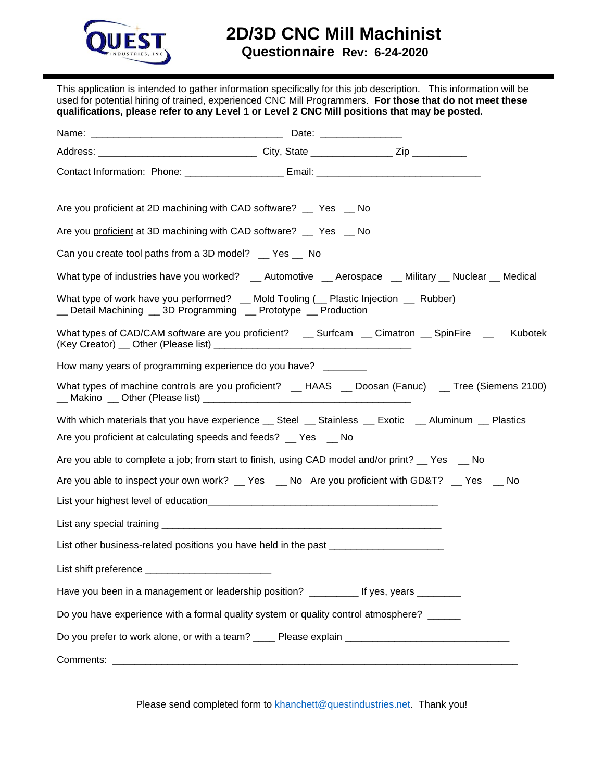

## **2D/3D CNC Mill Machinist**

 **Questionnaire Rev: 6-24-2020**

This application is intended to gather information specifically for this job description. This information will be used for potential hiring of trained, experienced CNC Mill Programmers. **For those that do not meet these qualifications, please refer to any Level 1 or Level 2 CNC Mill positions that may be posted.** 

Please send completed form to [khanchett@questindustries.net.](mailto:khanchett@questindustries.net) Thank you!